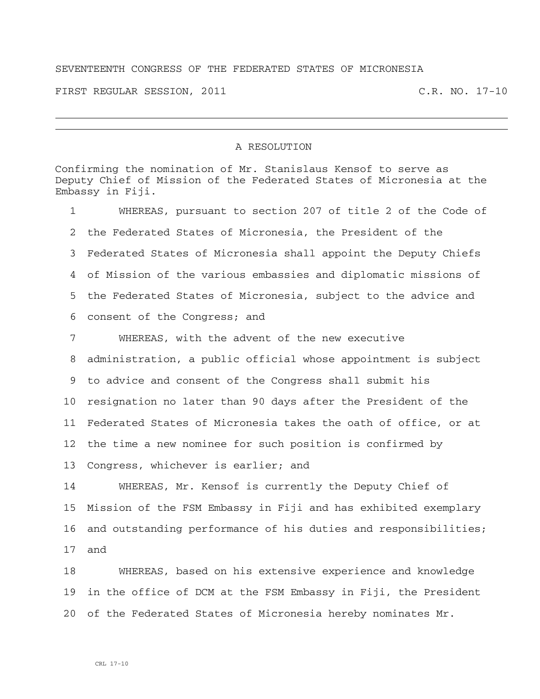## SEVENTEENTH CONGRESS OF THE FEDERATED STATES OF MICRONESIA

FIRST REGULAR SESSION, 2011 C.R. NO. 17-10

## A RESOLUTION

Confirming the nomination of Mr. Stanislaus Kensof to serve as Deputy Chief of Mission of the Federated States of Micronesia at the Embassy in Fiji. 1 WHEREAS, pursuant to section 207 of title 2 of the Code of 2 the Federated States of Micronesia, the President of the 3 Federated States of Micronesia shall appoint the Deputy Chiefs 4 of Mission of the various embassies and diplomatic missions of 5 the Federated States of Micronesia, subject to the advice and 6 consent of the Congress; and

7 WHEREAS, with the advent of the new executive 8 administration, a public official whose appointment is subject 9 to advice and consent of the Congress shall submit his 10 resignation no later than 90 days after the President of the 11 Federated States of Micronesia takes the oath of office, or at 12 the time a new nominee for such position is confirmed by 13 Congress, whichever is earlier; and

14 WHEREAS, Mr. Kensof is currently the Deputy Chief of 15 Mission of the FSM Embassy in Fiji and has exhibited exemplary 16 and outstanding performance of his duties and responsibilities; 17 and

18 WHEREAS, based on his extensive experience and knowledge 19 in the office of DCM at the FSM Embassy in Fiji, the President 20 of the Federated States of Micronesia hereby nominates Mr.